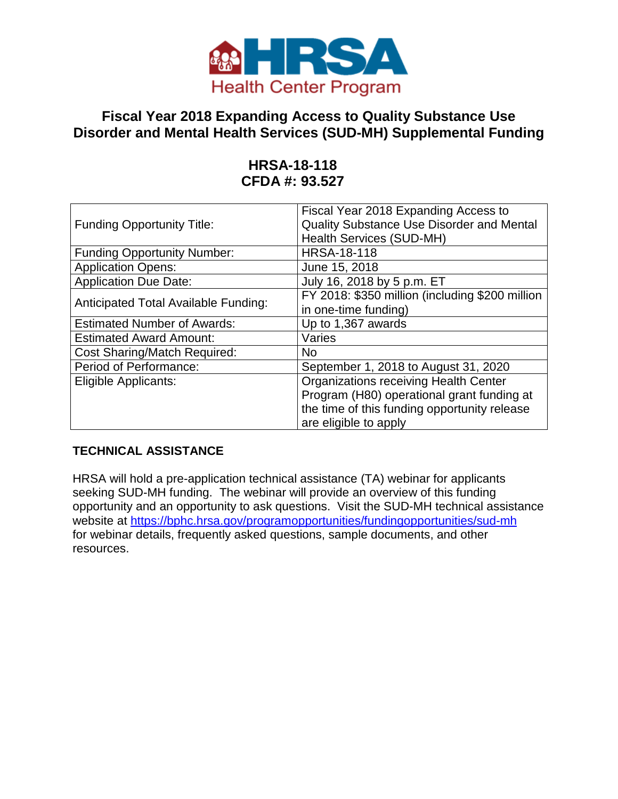

# **Fiscal Year 2018 Expanding Access to Quality Substance Use Disorder and Mental Health Services (SUD-MH) Supplemental Funding**

# **HRSA-18-118 CFDA #: 93.527**

| <b>Funding Opportunity Title:</b>           | Fiscal Year 2018 Expanding Access to<br>Quality Substance Use Disorder and Mental |
|---------------------------------------------|-----------------------------------------------------------------------------------|
|                                             | <b>Health Services (SUD-MH)</b>                                                   |
| <b>Funding Opportunity Number:</b>          | <b>HRSA-18-118</b>                                                                |
| <b>Application Opens:</b>                   | June 15, 2018                                                                     |
| <b>Application Due Date:</b>                | July 16, 2018 by 5 p.m. ET                                                        |
|                                             | FY 2018: \$350 million (including \$200 million                                   |
| <b>Anticipated Total Available Funding:</b> | in one-time funding)                                                              |
| <b>Estimated Number of Awards:</b>          | Up to 1,367 awards                                                                |
| <b>Estimated Award Amount:</b>              | Varies                                                                            |
| <b>Cost Sharing/Match Required:</b>         | No.                                                                               |
| Period of Performance:                      | September 1, 2018 to August 31, 2020                                              |
| Eligible Applicants:                        | <b>Organizations receiving Health Center</b>                                      |
|                                             | Program (H80) operational grant funding at                                        |
|                                             | the time of this funding opportunity release                                      |
|                                             | are eligible to apply                                                             |

# **TECHNICAL ASSISTANCE**

HRSA will hold a pre-application technical assistance (TA) webinar for applicants seeking SUD-MH funding. The webinar will provide an overview of this funding opportunity and an opportunity to ask questions. Visit the SUD-MH technical assistance website at <https://bphc.hrsa.gov/programopportunities/fundingopportunities/sud-mh> for webinar details, frequently asked questions, sample documents, and other resources.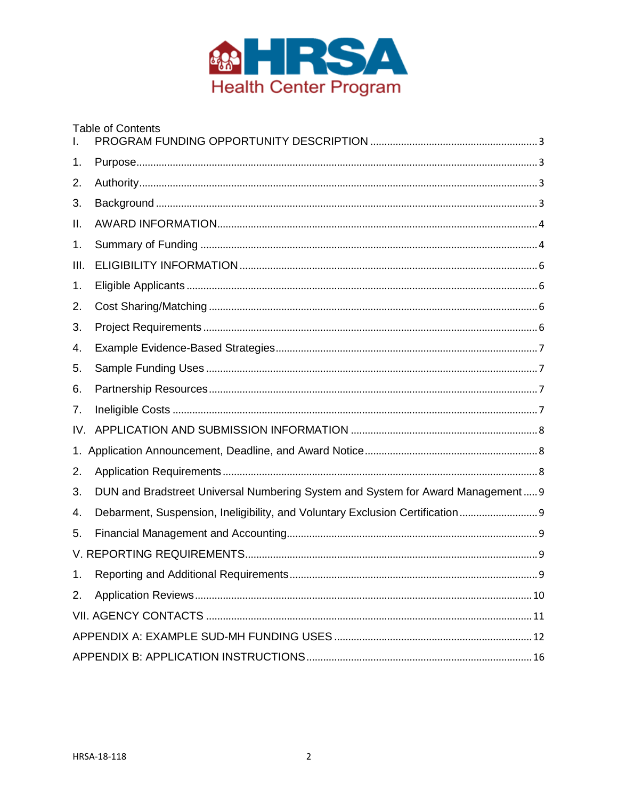

| L.   | <b>Table of Contents</b>                                                        |
|------|---------------------------------------------------------------------------------|
| 1.   |                                                                                 |
| 2.   |                                                                                 |
| 3.   |                                                                                 |
| ΙΙ.  |                                                                                 |
| 1.   |                                                                                 |
| III. |                                                                                 |
| 1.   |                                                                                 |
| 2.   |                                                                                 |
| 3.   |                                                                                 |
| 4.   |                                                                                 |
| 5.   |                                                                                 |
| 6.   |                                                                                 |
| 7.   |                                                                                 |
| IV.  |                                                                                 |
| 1.   |                                                                                 |
| 2.   |                                                                                 |
| 3.   | DUN and Bradstreet Universal Numbering System and System for Award Management 9 |
| 4.   | Debarment, Suspension, Ineligibility, and Voluntary Exclusion Certification     |
| 5.   |                                                                                 |
|      |                                                                                 |
| 1.   |                                                                                 |
| 2.   |                                                                                 |
|      |                                                                                 |
|      |                                                                                 |
|      |                                                                                 |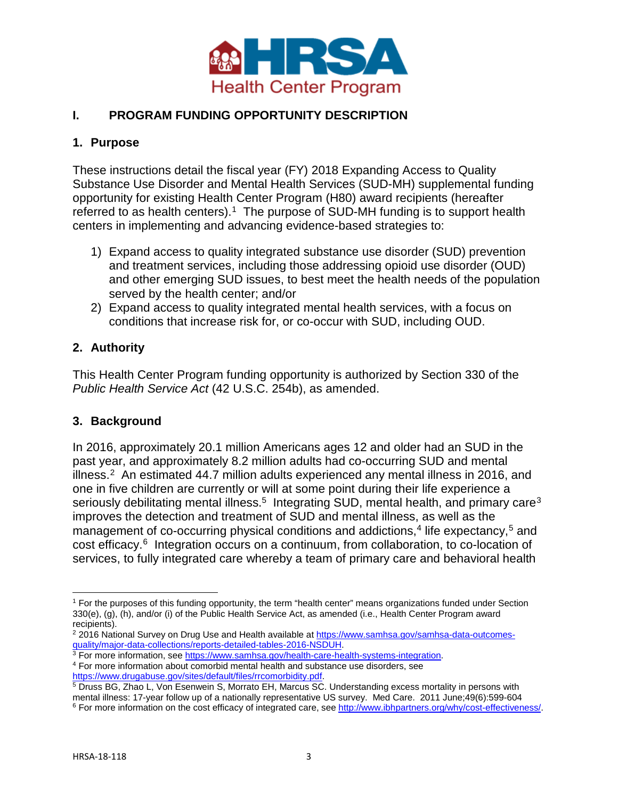

### <span id="page-2-0"></span>**I. PROGRAM FUNDING OPPORTUNITY DESCRIPTION**

#### <span id="page-2-1"></span>**1. Purpose**

These instructions detail the fiscal year (FY) 2018 Expanding Access to Quality Substance Use Disorder and Mental Health Services (SUD-MH) supplemental funding opportunity for existing Health Center Program (H80) award recipients (hereafter referred to as health centers).<sup>[1](#page-2-4)</sup> The purpose of SUD-MH funding is to support health centers in implementing and advancing evidence-based strategies to:

- 1) Expand access to quality integrated substance use disorder (SUD) prevention and treatment services, including those addressing opioid use disorder (OUD) and other emerging SUD issues, to best meet the health needs of the population served by the health center; and/or
- 2) Expand access to quality integrated mental health services, with a focus on conditions that increase risk for, or co-occur with SUD, including OUD.

### <span id="page-2-2"></span>**2. Authority**

This Health Center Program funding opportunity is authorized by Section 330 of the *Public Health Service Act* (42 U.S.C. 254b), as amended.

#### <span id="page-2-3"></span>**3. Background**

In 2016, approximately 20.1 million Americans ages 12 and older had an SUD in the past year, and approximately 8.2 million adults had co-occurring SUD and mental illness. $2$  An estimated 44.7 million adults experienced any mental illness in 2016, and one in five children are currently or will at some point during their life experience a seriously debilitating mental illness.<sup>5</sup> Integrating SUD, mental health, and primary care<sup>[3](#page-2-6)</sup> improves the detection and treatment of SUD and mental illness, as well as the management of co-occurring physical conditions and addictions,  $4$  life expectancy,  $5$  and cost efficacy.[6](#page-2-9) Integration occurs on a continuum, from collaboration, to co-location of services, to fully integrated care whereby a team of primary care and behavioral health

<span id="page-2-7"></span><span id="page-2-6"></span><sup>4</sup> For more information, about comorbid mental health and substance use disorders, see https://www.drugabuse.gov/sites/default/files/rrcomorbidity.pdf.

<span id="page-2-4"></span> $\overline{\phantom{a}}$ <sup>1</sup> For the purposes of this funding opportunity, the term "health center" means organizations funded under Section 330(e), (g), (h), and/or (i) of the Public Health Service Act, as amended (i.e., Health Center Program award recipients).

<span id="page-2-5"></span><sup>&</sup>lt;sup>2</sup> 2016 National Survey on Drug Use and Health available a[t https://www.samhsa.gov/samhsa-data-outcomes](https://www.samhsa.gov/samhsa-data-outcomes-quality/major-data-collections/reports-detailed-tables-2016-NSDUH)[quality/major-data-collections/reports-detailed-tables-2016-NSDUH.](https://www.samhsa.gov/samhsa-data-outcomes-quality/major-data-collections/reports-detailed-tables-2016-NSDUH)<br><sup>3</sup> For more information, see https://www.samhsa.gov/health-care-health-systems-integration.

<span id="page-2-8"></span> $\frac{5}{9}$  Druss BG, Zhao L, Von Esenwein S, Morrato EH, Marcus SC. Understanding excess mortality in persons with mental illness: 17-year follow up of a nationally representative US survey. Med Care. 2011 June;49(6):599-604<br><sup>6</sup> For more information on the cost efficacy of integrated care, see http://www.ibhpartners.org/why/cost-effect

<span id="page-2-9"></span>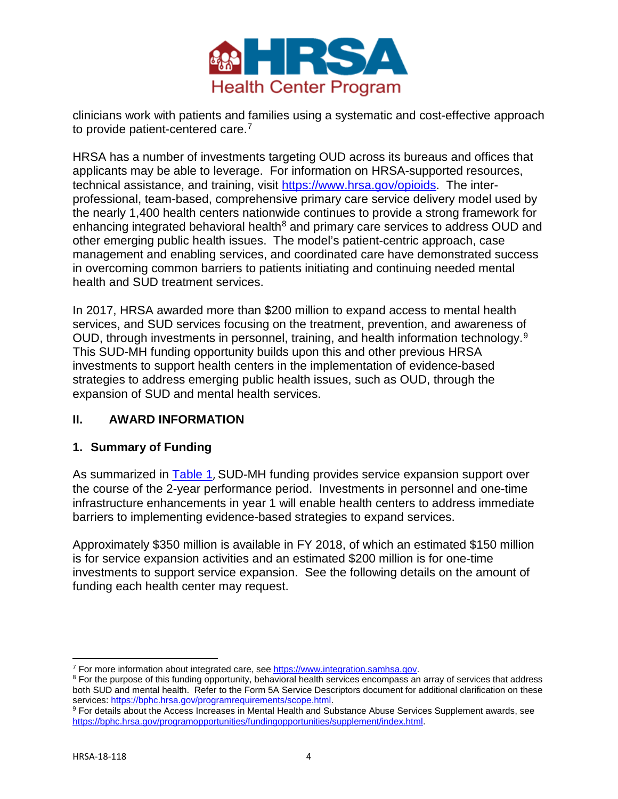

clinicians work with patients and families using a systematic and cost-effective approach to provide patient-centered care.<sup>7</sup>

HRSA has a number of investments targeting OUD across its bureaus and offices that applicants may be able to leverage. For information on HRSA-supported resources, technical assistance, and training, visit [https://www.hrsa.gov/opioids.](https://www.hrsa.gov/opioids) The interprofessional, team-based, comprehensive primary care service delivery model used by the nearly 1,400 health centers nationwide continues to provide a strong framework for enhancing integrated behavioral health $8$  and primary care services to address OUD and other emerging public health issues. The model's patient-centric approach, case management and enabling services, and coordinated care have demonstrated success in overcoming common barriers to patients initiating and continuing needed mental health and SUD treatment services.

In 2017, HRSA awarded more than \$200 million to expand access to mental health services, and SUD services focusing on the treatment, prevention, and awareness of OUD, through investments in personnel, training, and health information technology.[9](#page-3-4) This SUD-MH funding opportunity builds upon this and other previous HRSA investments to support health centers in the implementation of evidence-based strategies to address emerging public health issues, such as OUD, through the expansion of SUD and mental health services.

#### <span id="page-3-0"></span>**II. AWARD INFORMATION**

#### <span id="page-3-1"></span>**1. Summary of Funding**

As summarized in **Table 1**, SUD-MH funding provides service expansion support over the course of the 2-year performance period. Investments in personnel and one-time infrastructure enhancements in year 1 will enable health centers to address immediate barriers to implementing evidence-based strategies to expand services.

Approximately \$350 million is available in FY 2018, of which an estimated \$150 million is for service expansion activities and an estimated \$200 million is for one-time investments to support service expansion. See the following details on the amount of funding each health center may request.

<span id="page-3-2"></span><sup>&</sup>lt;sup>7</sup> For more information about integrated care, see https://www.integration.samhsa.gov.

<span id="page-3-3"></span><sup>&</sup>lt;sup>8</sup> For the purpose of this funding opportunity, behavioral health services encompass an array of services that address both SUD and mental health. Refer to the Form 5A Service Descriptors document for additional clarification on these services: [https://bphc.hrsa.gov/programrequirements/scope.html.](https://bphc.hrsa.gov/programrequirements/scope.html)

<span id="page-3-4"></span><sup>9</sup> For details about the Access Increases in Mental Health and Substance Abuse Services Supplement awards, see [https://bphc.hrsa.gov/programopportunities/fundingopportunities/supplement/index.html.](https://bphc.hrsa.gov/programopportunities/fundingopportunities/supplement/index.html)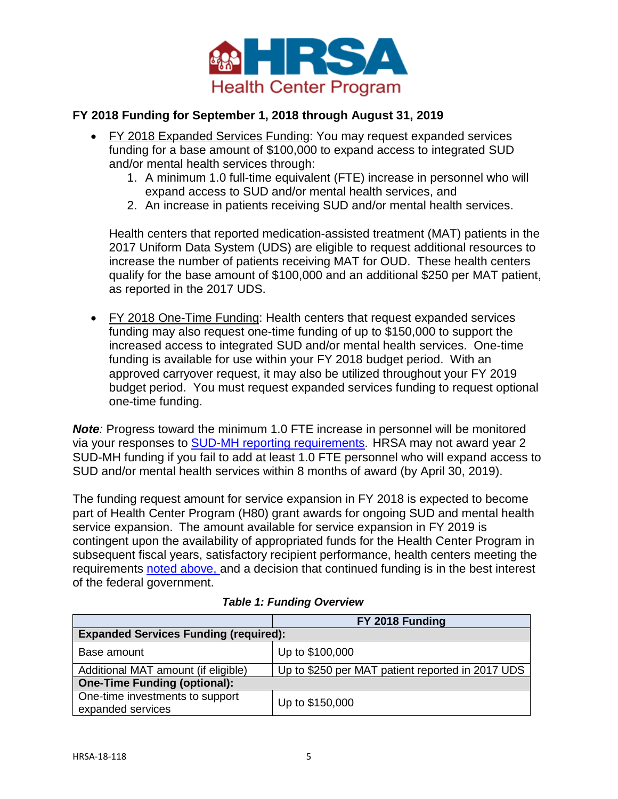

### **FY 2018 Funding for September 1, 2018 through August 31, 2019**

- FY 2018 Expanded Services Funding: You may request expanded services funding for a base amount of \$100,000 to expand access to integrated SUD and/or mental health services through:
	- 1. A minimum 1.0 full-time equivalent (FTE) increase in personnel who will expand access to SUD and/or mental health services, and
	- 2. An increase in patients receiving SUD and/or mental health services.

Health centers that reported medication-assisted treatment (MAT) patients in the 2017 Uniform Data System (UDS) are eligible to request additional resources to increase the number of patients receiving MAT for OUD. These health centers qualify for the base amount of \$100,000 and an additional \$250 per MAT patient, as reported in the 2017 UDS.

• FY 2018 One-Time Funding: Health centers that request expanded services funding may also request one-time funding of up to \$150,000 to support the increased access to integrated SUD and/or mental health services. One-time funding is available for use within your FY 2018 budget period. With an approved carryover request, it may also be utilized throughout your FY 2019 budget period. You must request expanded services funding to request optional one-time funding.

**Note**: Progress toward the minimum 1.0 FTE increase in personnel will be monitored via your responses to [SUD-MH reporting requirements](#page-8-3). HRSA may not award year 2 SUD-MH funding if you fail to add at least 1.0 FTE personnel who will expand access to SUD and/or mental health services within 8 months of award (by April 30, 2019).

The funding request amount for service expansion in FY 2018 is expected to become part of Health Center Program (H80) grant awards for ongoing SUD and mental health service expansion. The amount available for service expansion in FY 2019 is contingent upon the availability of appropriated funds for the Health Center Program in subsequent fiscal years, satisfactory recipient performance, health centers meeting the requirements noted above, and a decision that continued funding is in the best interest of the federal government.

<span id="page-4-0"></span>

|                                                      | FY 2018 Funding                                  |  |  |
|------------------------------------------------------|--------------------------------------------------|--|--|
| <b>Expanded Services Funding (required):</b>         |                                                  |  |  |
| Base amount                                          | Up to \$100,000                                  |  |  |
| Additional MAT amount (if eligible)                  | Up to \$250 per MAT patient reported in 2017 UDS |  |  |
| <b>One-Time Funding (optional):</b>                  |                                                  |  |  |
| One-time investments to support<br>expanded services | Up to \$150,000                                  |  |  |

#### *Table 1: Funding Overview*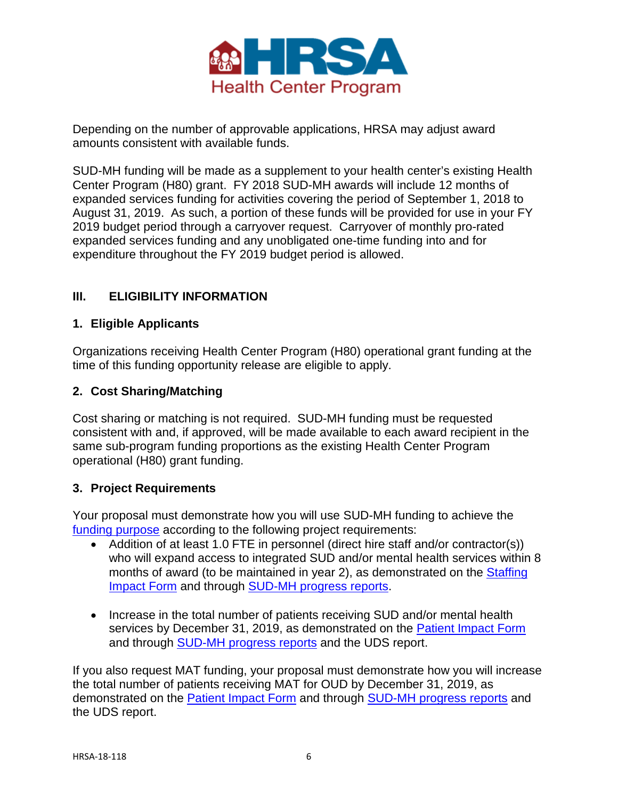

Depending on the number of approvable applications, HRSA may adjust award amounts consistent with available funds.

SUD-MH funding will be made as a supplement to your health center's existing Health Center Program (H80) grant. FY 2018 SUD-MH awards will include 12 months of expanded services funding for activities covering the period of September 1, 2018 to August 31, 2019. As such, a portion of these funds will be provided for use in your FY 2019 budget period through a carryover request. Carryover of monthly pro-rated expanded services funding and any unobligated one-time funding into and for expenditure throughout the FY 2019 budget period is allowed.

# <span id="page-5-0"></span>**III. ELIGIBILITY INFORMATION**

### <span id="page-5-1"></span>**1. Eligible Applicants**

Organizations receiving Health Center Program (H80) operational grant funding at the time of this funding opportunity release are eligible to apply.

### <span id="page-5-2"></span>**2. Cost Sharing/Matching**

Cost sharing or matching is not required. SUD-MH funding must be requested consistent with and, if approved, will be made available to each award recipient in the same sub-program funding proportions as the existing Health Center Program operational (H80) grant funding.

#### <span id="page-5-3"></span>**3. Project Requirements**

Your proposal must demonstrate how you will use SUD-MH funding to achieve the [funding purpose](#page-2-1) according to the following project requirements:

- Addition of at least 1.0 FTE in personnel (direct hire staff and/or contractor(s)) who will expand access to integrated SUD and/or mental health services within 8 months of award (to be maintained in year 2), as demonstrated on the [Staffing](#page-18-0)  [Impact Form](#page-18-0) and through [SUD-MH progress reports.](#page-8-3)
- Increase in the total number of patients receiving SUD and/or mental health services by December 31, 2019, as demonstrated on the [Patient Impact Form](#page-18-1) and through [SUD-MH progress reports](#page-8-3) and the UDS report.

If you also request MAT funding, your proposal must demonstrate how you will increase the total number of patients receiving MAT for OUD by December 31, 2019, as demonstrated on the [Patient Impact Form](#page-18-1) and through [SUD-MH progress reports](#page-8-3) and the UDS report.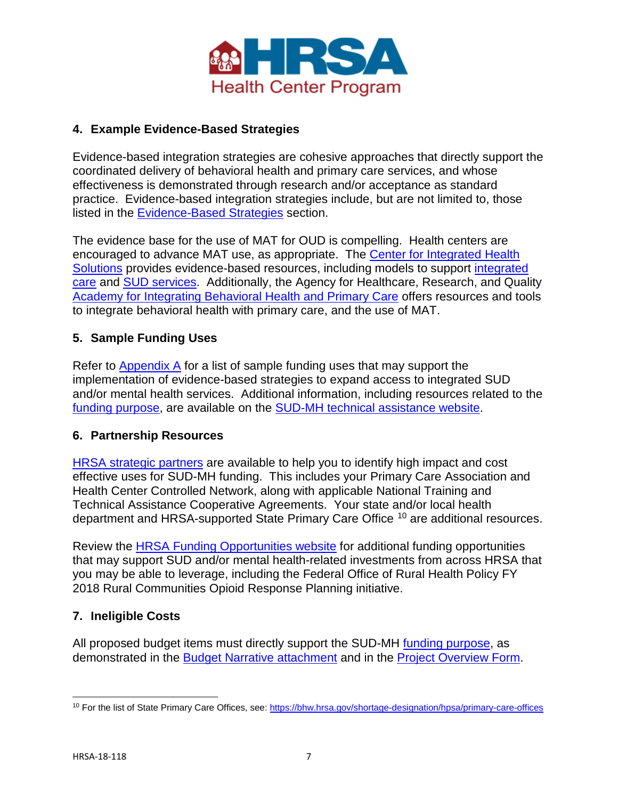

# <span id="page-6-0"></span>**4. Example Evidence-Based Strategies**

Evidence-based integration strategies are cohesive approaches that directly support the coordinated delivery of behavioral health and primary care services, and whose effectiveness is demonstrated through research and/or acceptance as standard practice. Evidence-based integration strategies include, but are not limited to, those listed in the [Evidence-Based Strategies](#page-17-0) section.

The evidence base for the use of MAT for OUD is compelling. Health centers are encouraged to advance MAT use, as appropriate. The [Center for Integrated Health](https://www.integration.samhsa.gov/)  [Solutions](https://www.integration.samhsa.gov/) provides evidence-based resources, including models to support [integrated](https://www.integration.samhsa.gov/integrated-care-models/list)  [care](https://www.integration.samhsa.gov/integrated-care-models/list) and [SUD services.](https://www.integration.samhsa.gov/clinical-practice/substance_use) Additionally, the Agency for Healthcare, Research, and Quality [Academy for Integrating Behavioral Health and Primary Care](https://integrationacademy.ahrq.gov/?utm_source=ahrq&utm_medium=en&utm_term=&utm_content=1&utm_campaign=ahrq_oud_2018) offers resources and tools to integrate behavioral health with primary care, and the use of MAT.

### <span id="page-6-1"></span>**5. Sample Funding Uses**

Refer to Appendix  $\overline{A}$  for a list of sample funding uses that may support the implementation of evidence-based strategies to expand access to integrated SUD and/or mental health services. Additional information, including resources related to the [funding purpose,](#page-2-1) are available on the [SUD-MH technical assistance website.](https://bphc.hrsa.gov/programopportunities/fundingopportunities/sud-mh)

#### <span id="page-6-2"></span>**6. Partnership Resources**

[HRSA strategic partners](https://bphc.hrsa.gov/qualityimprovement/strategicpartnerships/index.html) are available to help you to identify high impact and cost effective uses for SUD-MH funding. This includes your Primary Care Association and Health Center Controlled Network, along with applicable National Training and Technical Assistance Cooperative Agreements. Your state and/or local health department and HRSA-supported State Primary Care Office [10](#page-6-4) are additional resources.

Review the [HRSA Funding Opportunities website](https://www.hrsa.gov/grants/fundingopportunities/default.aspx) for additional funding opportunities that may support SUD and/or mental health-related investments from across HRSA that you may be able to leverage, including the Federal Office of Rural Health Policy FY 2018 Rural Communities Opioid Response Planning initiative.

#### <span id="page-6-3"></span>**7. Ineligible Costs**

All proposed budget items must directly support the SUD-MH [funding purpose,](#page-2-1) as demonstrated in the [Budget Narrative attachment](#page-16-0) and in the [Project Overview Form.](#page-17-1)

<span id="page-6-4"></span> $\overline{\phantom{a}}$ <sup>10</sup> For the list of State Primary Care Offices, see:<https://bhw.hrsa.gov/shortage-designation/hpsa/primary-care-offices>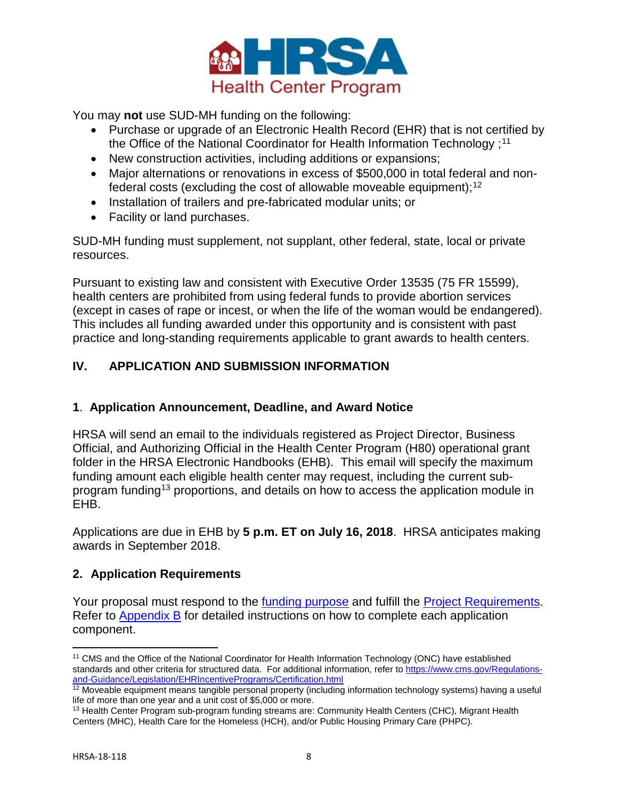

You may **not** use SUD-MH funding on the following:

- Purchase or upgrade of an Electronic Health Record (EHR) that is not certified by the Office of the National Coordinator for Health Information Technology ; [11](#page-7-3)
- New construction activities, including additions or expansions;
- Major alternations or renovations in excess of \$500,000 in total federal and nonfederal costs (excluding the cost of allowable moveable equipment); $^{\rm 12}$  $^{\rm 12}$  $^{\rm 12}$
- Installation of trailers and pre-fabricated modular units; or
- Facility or land purchases.

SUD-MH funding must supplement, not supplant, other federal, state, local or private resources.

Pursuant to existing law and consistent with Executive Order 13535 (75 FR 15599), health centers are prohibited from using federal funds to provide abortion services (except in cases of rape or incest, or when the life of the woman would be endangered). This includes all funding awarded under this opportunity and is consistent with past practice and long-standing requirements applicable to grant awards to health centers.

# <span id="page-7-0"></span>**IV. APPLICATION AND SUBMISSION INFORMATION**

# <span id="page-7-1"></span>**1**. **Application Announcement, Deadline, and Award Notice**

HRSA will send an email to the individuals registered as Project Director, Business Official, and Authorizing Official in the Health Center Program (H80) operational grant folder in the HRSA Electronic Handbooks (EHB). This email will specify the maximum funding amount each eligible health center may request, including the current subprogram funding[13](#page-7-5) proportions, and details on how to access the application module in EHB.

Applications are due in EHB by **5 p.m. ET on July 16, 2018**. HRSA anticipates making awards in September 2018.

# <span id="page-7-2"></span>**2. Application Requirements**

Your proposal must respond to the [funding purpose](#page-2-1) and fulfill the [Project Requirements.](#page-5-3) Refer to [Appendix B](#page-15-0) for detailed instructions on how to complete each application component.

<span id="page-7-3"></span> $\overline{\phantom{a}}$ <sup>11</sup> CMS and the Office of the National Coordinator for Health Information Technology (ONC) have established standards and other criteria for structured data. For additional information, refer to [https://www.cms.gov/Regulations](https://www.cms.gov/Regulations-and-Guidance/Legislation/EHRIncentivePrograms/Certification.html)[and-Guidance/Legislation/EHRIncentivePrograms/Certification.html](https://www.cms.gov/Regulations-and-Guidance/Legislation/EHRIncentivePrograms/Certification.html)

<span id="page-7-4"></span><sup>&</sup>lt;sup>12</sup> Moveable equipment means tangible personal property (including information technology systems) having a useful life of more than one year and a unit cost of \$5,000 or more.

<span id="page-7-5"></span><sup>&</sup>lt;sup>13</sup> Health Center Program sub-program funding streams are: Community Health Centers (CHC), Migrant Health Centers (MHC), Health Care for the Homeless (HCH), and/or Public Housing Primary Care (PHPC).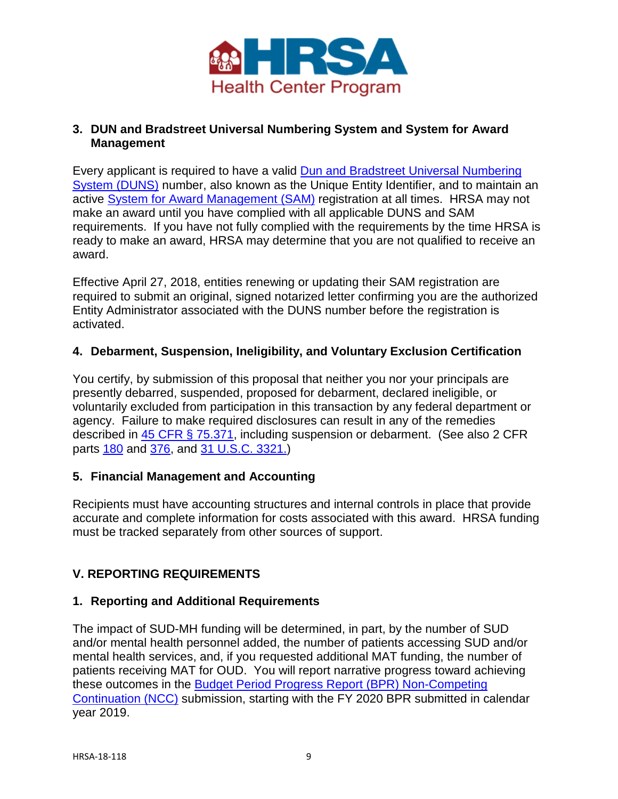

### <span id="page-8-0"></span>**3. DUN and Bradstreet Universal Numbering System and System for Award Management**

Every applicant is required to have a valid [Dun and Bradstreet Universal Numbering](http://www.dnb.com/duns-number.html)  [System \(DUNS\)](http://www.dnb.com/duns-number.html) number, also known as the Unique Entity Identifier, and to maintain an active [System for Award Management](https://www.sam.gov/portal/SAM/) (SAM) registration at all times. HRSA may not make an award until you have complied with all applicable DUNS and SAM requirements. If you have not fully complied with the requirements by the time HRSA is ready to make an award, HRSA may determine that you are not qualified to receive an award.

Effective April 27, 2018, entities renewing or updating their SAM registration are required to submit an original, signed notarized letter confirming you are the authorized Entity Administrator associated with the DUNS number before the registration is activated.

### <span id="page-8-1"></span>**4. Debarment, Suspension, Ineligibility, and Voluntary Exclusion Certification**

You certify, by submission of this proposal that neither you nor your principals are presently debarred, suspended, proposed for debarment, declared ineligible, or voluntarily excluded from participation in this transaction by any federal department or agency. Failure to make required disclosures can result in any of the remedies described in [45 CFR § 75.371,](http://www.ecfr.gov/cgi-bin/text-idx?node=pt45.1.75) including suspension or debarment. (See also 2 CFR parts [180](https://www.ecfr.gov/cgi-bin/text-idx?SID=f3a17c7629cc1938b3f0f565ee90c3fb&mc=true&node=pt2.1.180&rgn=div5) and [376,](https://www.ecfr.gov/cgi-bin/text-idx?SID=f3a17c7629cc1938b3f0f565ee90c3fb&mc=true&node=pt2.1.376&rgn=div5) and [31 U.S.C. 3321.](https://www.gpo.gov/fdsys/pkg/USCODE-2011-title31/html/USCODE-2011-title31-subtitleIII-chap33-subchapII-sec3321.htm))

# <span id="page-8-2"></span>**5. Financial Management and Accounting**

Recipients must have accounting structures and internal controls in place that provide accurate and complete information for costs associated with this award. HRSA funding must be tracked separately from other sources of support.

# <span id="page-8-3"></span>**V. REPORTING REQUIREMENTS**

#### <span id="page-8-4"></span>**1. Reporting and Additional Requirements**

The impact of SUD-MH funding will be determined, in part, by the number of SUD and/or mental health personnel added, the number of patients accessing SUD and/or mental health services, and, if you requested additional MAT funding, the number of patients receiving MAT for OUD. You will report narrative progress toward achieving these outcomes in the [Budget Period Progress Report \(BPR\) Non-Competing](https://bphc.hrsa.gov/programopportunities/fundingopportunities/continuation/continuation.html)  [Continuation \(NCC\)](https://bphc.hrsa.gov/programopportunities/fundingopportunities/continuation/continuation.html) submission, starting with the FY 2020 BPR submitted in calendar year 2019.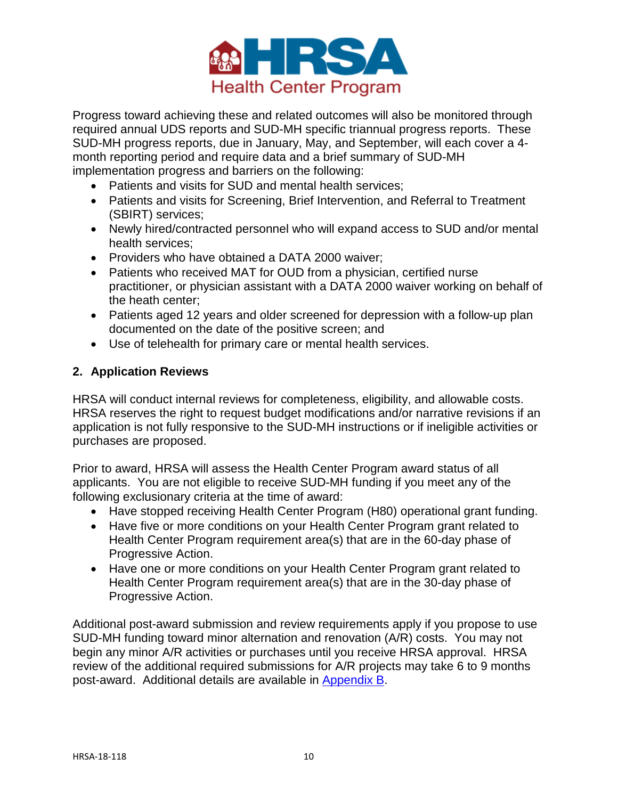

Progress toward achieving these and related outcomes will also be monitored through required annual UDS reports and SUD-MH specific triannual progress reports. These SUD-MH progress reports, due in January, May, and September, will each cover a 4 month reporting period and require data and a brief summary of SUD-MH implementation progress and barriers on the following:

- Patients and visits for SUD and mental health services;
- Patients and visits for Screening, Brief Intervention, and Referral to Treatment (SBIRT) services;
- Newly hired/contracted personnel who will expand access to SUD and/or mental health services;
- Providers who have obtained a DATA 2000 waiver;
- Patients who received MAT for OUD from a physician, certified nurse practitioner, or physician assistant with a DATA 2000 waiver working on behalf of the heath center;
- Patients aged 12 years and older screened for depression with a follow-up plan documented on the date of the positive screen; and
- Use of telehealth for primary care or mental health services.

### <span id="page-9-0"></span>**2. Application Reviews**

HRSA will conduct internal reviews for completeness, eligibility, and allowable costs. HRSA reserves the right to request budget modifications and/or narrative revisions if an application is not fully responsive to the SUD-MH instructions or if ineligible activities or purchases are proposed.

Prior to award, HRSA will assess the Health Center Program award status of all applicants. You are not eligible to receive SUD-MH funding if you meet any of the following exclusionary criteria at the time of award:

- Have stopped receiving Health Center Program (H80) operational grant funding.
- Have five or more conditions on your Health Center Program grant related to Health Center Program requirement area(s) that are in the 60-day phase of Progressive Action.
- Have one or more conditions on your Health Center Program grant related to Health Center Program requirement area(s) that are in the 30-day phase of Progressive Action.

Additional post-award submission and review requirements apply if you propose to use SUD-MH funding toward minor alternation and renovation (A/R) costs. You may not begin any minor A/R activities or purchases until you receive HRSA approval. HRSA review of the additional required submissions for A/R projects may take 6 to 9 months post-award. Additional details are available in [Appendix B.](#page-15-0)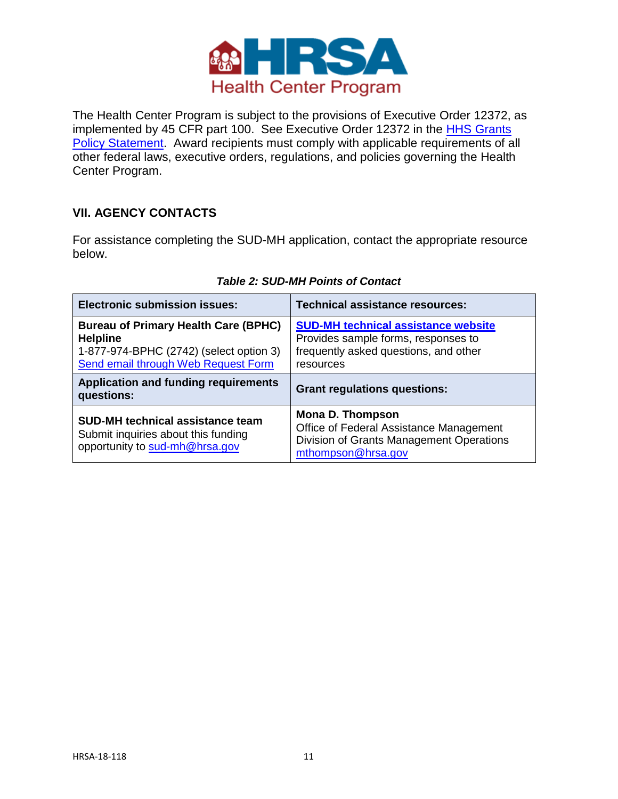

The Health Center Program is subject to the provisions of Executive Order 12372, as implemented by 45 CFR part 100. See Executive Order 12372 in the [HHS Grants](https://www.hrsa.gov/grants/hhsgrantspolicy.pdf)  [Policy Statement.](https://www.hrsa.gov/grants/hhsgrantspolicy.pdf) Award recipients must comply with applicable requirements of all other federal laws, executive orders, regulations, and policies governing the Health Center Program.

### <span id="page-10-0"></span>**VII. AGENCY CONTACTS**

For assistance completing the SUD-MH application, contact the appropriate resource below.

| <b>Electronic submission issues:</b>                                                                                                             | <b>Technical assistance resources:</b>                                                                                                  |
|--------------------------------------------------------------------------------------------------------------------------------------------------|-----------------------------------------------------------------------------------------------------------------------------------------|
| <b>Bureau of Primary Health Care (BPHC)</b><br><b>Helpline</b><br>1-877-974-BPHC (2742) (select option 3)<br>Send email through Web Request Form | <b>SUD-MH technical assistance website</b><br>Provides sample forms, responses to<br>frequently asked questions, and other<br>resources |
| <b>Application and funding requirements</b><br>questions:                                                                                        | <b>Grant regulations questions:</b>                                                                                                     |
|                                                                                                                                                  |                                                                                                                                         |

#### *Table 2: SUD-MH Points of Contact*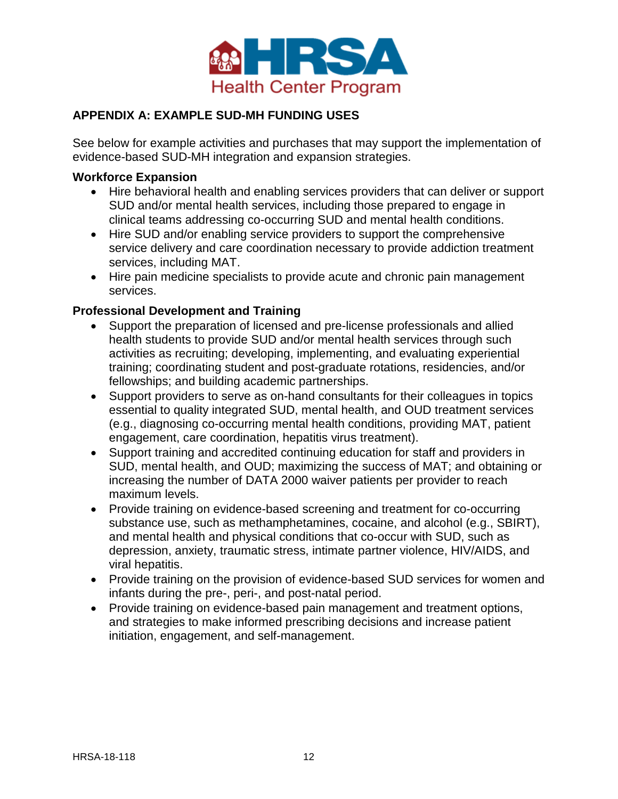

# <span id="page-11-0"></span>**APPENDIX A: EXAMPLE SUD-MH FUNDING USES**

See below for example activities and purchases that may support the implementation of evidence-based SUD-MH integration and expansion strategies.

#### **Workforce Expansion**

- Hire behavioral health and enabling services providers that can deliver or support SUD and/or mental health services, including those prepared to engage in clinical teams addressing co-occurring SUD and mental health conditions.
- Hire SUD and/or enabling service providers to support the comprehensive service delivery and care coordination necessary to provide addiction treatment services, including MAT.
- Hire pain medicine specialists to provide acute and chronic pain management services.

# **Professional Development and Training**

- Support the preparation of licensed and pre-license professionals and allied health students to provide SUD and/or mental health services through such activities as recruiting; developing, implementing, and evaluating experiential training; coordinating student and post-graduate rotations, residencies, and/or fellowships; and building academic partnerships.
- Support providers to serve as on-hand consultants for their colleagues in topics essential to quality integrated SUD, mental health, and OUD treatment services (e.g., diagnosing co-occurring mental health conditions, providing MAT, patient engagement, care coordination, hepatitis virus treatment).
- Support training and accredited continuing education for staff and providers in SUD, mental health, and OUD; maximizing the success of MAT; and obtaining or increasing the number of DATA 2000 waiver patients per provider to reach maximum levels.
- Provide training on evidence-based screening and treatment for co-occurring substance use, such as methamphetamines, cocaine, and alcohol (e.g., SBIRT), and mental health and physical conditions that co-occur with SUD, such as depression, anxiety, traumatic stress, intimate partner violence, HIV/AIDS, and viral hepatitis.
- Provide training on the provision of evidence-based SUD services for women and infants during the pre-, peri-, and post-natal period.
- Provide training on evidence-based pain management and treatment options, and strategies to make informed prescribing decisions and increase patient initiation, engagement, and self-management.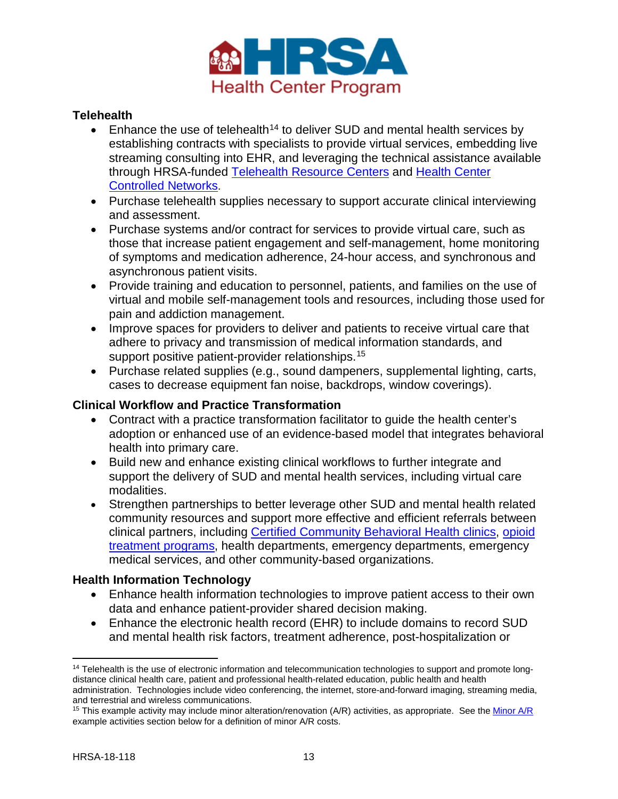

### **Telehealth**

- Enhance the use of telehealth<sup>[14](#page-12-0)</sup> to deliver SUD and mental health services by establishing contracts with specialists to provide virtual services, embedding live streaming consulting into EHR, and leveraging the technical assistance available through HRSA-funded [Telehealth Resource Centers](http://www.telehealthresourcecenter.org/) and [Health Center](https://bphc.hrsa.gov/qualityimprovement/strategicpartnerships/hccn.html)  [Controlled Networks](https://bphc.hrsa.gov/qualityimprovement/strategicpartnerships/hccn.html).
- Purchase telehealth supplies necessary to support accurate clinical interviewing and assessment.
- Purchase systems and/or contract for services to provide virtual care, such as those that increase patient engagement and self-management, home monitoring of symptoms and medication adherence, 24-hour access, and synchronous and asynchronous patient visits.
- Provide training and education to personnel, patients, and families on the use of virtual and mobile self-management tools and resources, including those used for pain and addiction management.
- Improve spaces for providers to deliver and patients to receive virtual care that adhere to privacy and transmission of medical information standards, and support positive patient-provider relationships.<sup>[15](#page-12-1)</sup>
- Purchase related supplies (e.g., sound dampeners, supplemental lighting, carts, cases to decrease equipment fan noise, backdrops, window coverings).

#### **Clinical Workflow and Practice Transformation**

- Contract with a practice transformation facilitator to guide the health center's adoption or enhanced use of an evidence-based model that integrates behavioral health into primary care.
- Build new and enhance existing clinical workflows to further integrate and support the delivery of SUD and mental health services, including virtual care modalities.
- Strengthen partnerships to better leverage other SUD and mental health related community resources and support more effective and efficient referrals between clinical partners, including [Certified Community Behavioral Health clinics,](https://www.samhsa.gov/section-223) [opioid](ttps://dpt2.samhsa.gov/treatment/directory.aspx)  [treatment programs,](ttps://dpt2.samhsa.gov/treatment/directory.aspx) health departments, emergency departments, emergency medical services, and other community-based organizations.

#### **Health Information Technology**

- Enhance health information technologies to improve patient access to their own data and enhance patient-provider shared decision making.
- Enhance the electronic health record (EHR) to include domains to record SUD and mental health risk factors, treatment adherence, post-hospitalization or

 $\overline{\phantom{a}}$ 

<span id="page-12-0"></span><sup>&</sup>lt;sup>14</sup> Telehealth is the use of electronic information and telecommunication technologies to support and promote longdistance clinical health care, patient and professional health-related education, public health and health administration. Technologies include video conferencing, the internet, store-and-forward imaging, streaming media, and terrestrial and wireless communications.

<span id="page-12-1"></span><sup>&</sup>lt;sup>15</sup> This example activity may include minor alteration/renovation (A/R) activities, as appropriate. See th[e Minor A/R](#page-13-0) example activities section below for a definition of minor A/R costs.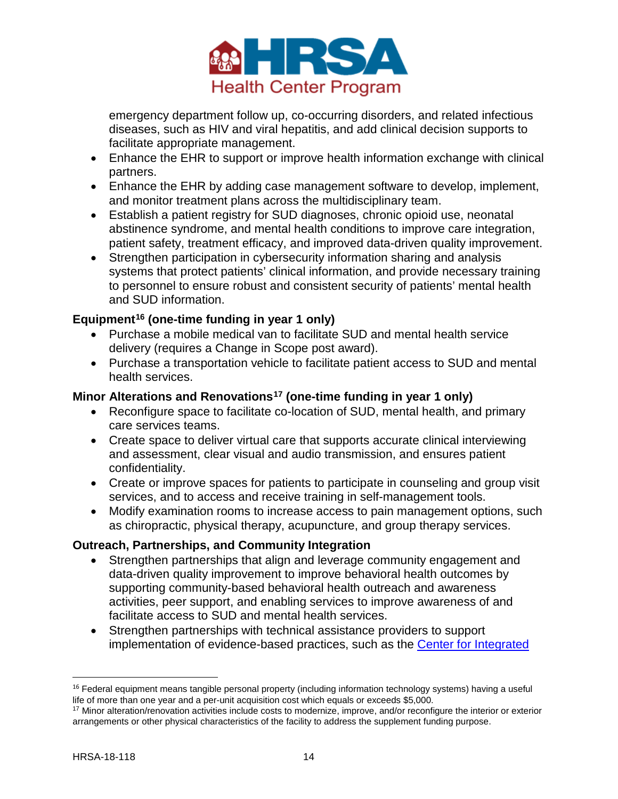

emergency department follow up, co-occurring disorders, and related infectious diseases, such as HIV and viral hepatitis, and add clinical decision supports to facilitate appropriate management.

- Enhance the EHR to support or improve health information exchange with clinical partners.
- Enhance the EHR by adding case management software to develop, implement, and monitor treatment plans across the multidisciplinary team.
- Establish a patient registry for SUD diagnoses, chronic opioid use, neonatal abstinence syndrome, and mental health conditions to improve care integration, patient safety, treatment efficacy, and improved data-driven quality improvement.
- Strengthen participation in cybersecurity information sharing and analysis systems that protect patients' clinical information, and provide necessary training to personnel to ensure robust and consistent security of patients' mental health and SUD information.

# **Equipment[16](#page-13-1) (one-time funding in year 1 only)**

- Purchase a mobile medical van to facilitate SUD and mental health service delivery (requires a Change in Scope post award).
- Purchase a transportation vehicle to facilitate patient access to SUD and mental health services.

### <span id="page-13-0"></span>**Minor Alterations and Renovations[17](#page-13-2) (one-time funding in year 1 only)**

- Reconfigure space to facilitate co-location of SUD, mental health, and primary care services teams.
- Create space to deliver virtual care that supports accurate clinical interviewing and assessment, clear visual and audio transmission, and ensures patient confidentiality.
- Create or improve spaces for patients to participate in counseling and group visit services, and to access and receive training in self-management tools.
- Modify examination rooms to increase access to pain management options, such as chiropractic, physical therapy, acupuncture, and group therapy services.

#### **Outreach, Partnerships, and Community Integration**

- Strengthen partnerships that align and leverage community engagement and data-driven quality improvement to improve behavioral health outcomes by supporting community-based behavioral health outreach and awareness activities, peer support, and enabling services to improve awareness of and facilitate access to SUD and mental health services.
- Strengthen partnerships with technical assistance providers to support implementation of evidence-based practices, such as the [Center for Integrated](https://www.integration.samhsa.gov/)

<span id="page-13-1"></span><sup>&</sup>lt;sup>16</sup> Federal equipment means tangible personal property (including information technology systems) having a useful life of more than one year and a per-unit acquisition cost which equals or exceeds \$5,000.

<span id="page-13-2"></span><sup>17</sup> Minor alteration/renovation activities include costs to modernize, improve, and/or reconfigure the interior or exterior arrangements or other physical characteristics of the facility to address the supplement funding purpose.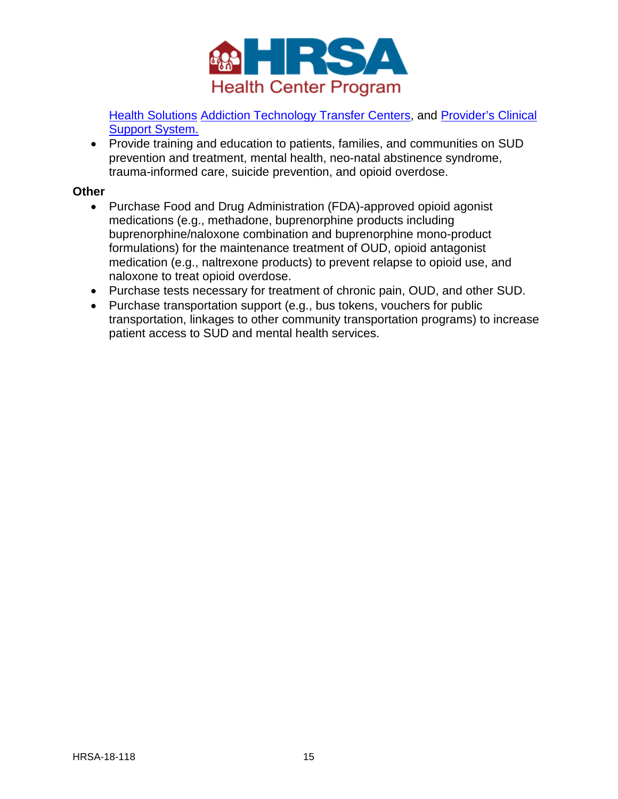

[Health Solutions](https://www.integration.samhsa.gov/) [Addiction Technology Transfer Centers,](http://attcnetwork.org/home/) and [Provider's Clinical](https://pcssmat.org/)  [Support System.](https://pcssmat.org/)

• Provide training and education to patients, families, and communities on SUD prevention and treatment, mental health, neo-natal abstinence syndrome, trauma-informed care, suicide prevention, and opioid overdose.

#### **Other**

- Purchase Food and Drug Administration (FDA)-approved opioid agonist medications (e.g., methadone, buprenorphine products including buprenorphine/naloxone combination and buprenorphine mono-product formulations) for the maintenance treatment of OUD, opioid antagonist medication (e.g., naltrexone products) to prevent relapse to opioid use, and naloxone to treat opioid overdose.
- Purchase tests necessary for treatment of chronic pain, OUD, and other SUD.
- Purchase transportation support (e.g., bus tokens, vouchers for public transportation, linkages to other community transportation programs) to increase patient access to SUD and mental health services.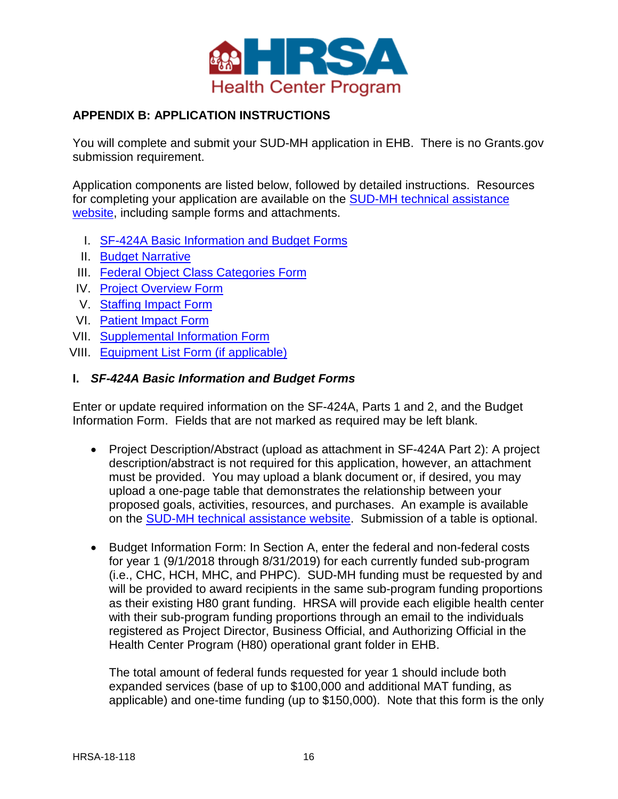

### <span id="page-15-0"></span>**APPENDIX B: APPLICATION INSTRUCTIONS**

You will complete and submit your SUD-MH application in EHB. There is no Grants.gov submission requirement.

Application components are listed below, followed by detailed instructions. Resources for completing your application are available on the [SUD-MH technical assistance](https://bphc.hrsa.gov/programopportunities/fundingopportunities/sud-mh)  [website,](https://bphc.hrsa.gov/programopportunities/fundingopportunities/sud-mh) including sample forms and attachments.

- I. [SF-424A Basic Information and Budget Forms](#page-15-1)
- II. [Budget Narrative](#page-16-0)
- III. [Federal Object Class Categories Form](#page-16-1)
- IV. [Project Overview Form](#page-17-1)
- V. [Staffing Impact Form](#page-18-0)
- VI. [Patient Impact Form](#page-18-1)
- VII. [Supplemental Information Form](#page-20-0)
- VIII. [Equipment List Form \(if applicable\)](#page-21-0)

#### <span id="page-15-1"></span>**I.** *SF-424A Basic Information and Budget Forms*

Enter or update required information on the SF-424A, Parts 1 and 2, and the Budget Information Form. Fields that are not marked as required may be left blank.

- <span id="page-15-2"></span>• Project Description/Abstract (upload as attachment in SF-424A Part 2): A project description/abstract is not required for this application, however, an attachment must be provided. You may upload a blank document or, if desired, you may upload a one-page table that demonstrates the relationship between your proposed goals, activities, resources, and purchases. An example is available on the [SUD-MH technical assistance website.](https://bphc.hrsa.gov/programopportunities/fundingopportunities/sud-mh) Submission of a table is optional.
- Budget Information Form: In Section A, enter the federal and non-federal costs for year 1 (9/1/2018 through 8/31/2019) for each currently funded sub-program (i.e., CHC, HCH, MHC, and PHPC). SUD-MH funding must be requested by and will be provided to award recipients in the same sub-program funding proportions as their existing H80 grant funding. HRSA will provide each eligible health center with their sub-program funding proportions through an email to the individuals registered as Project Director, Business Official, and Authorizing Official in the Health Center Program (H80) operational grant folder in EHB.

The total amount of federal funds requested for year 1 should include both expanded services (base of up to \$100,000 and additional MAT funding, as applicable) and one-time funding (up to \$150,000). Note that this form is the only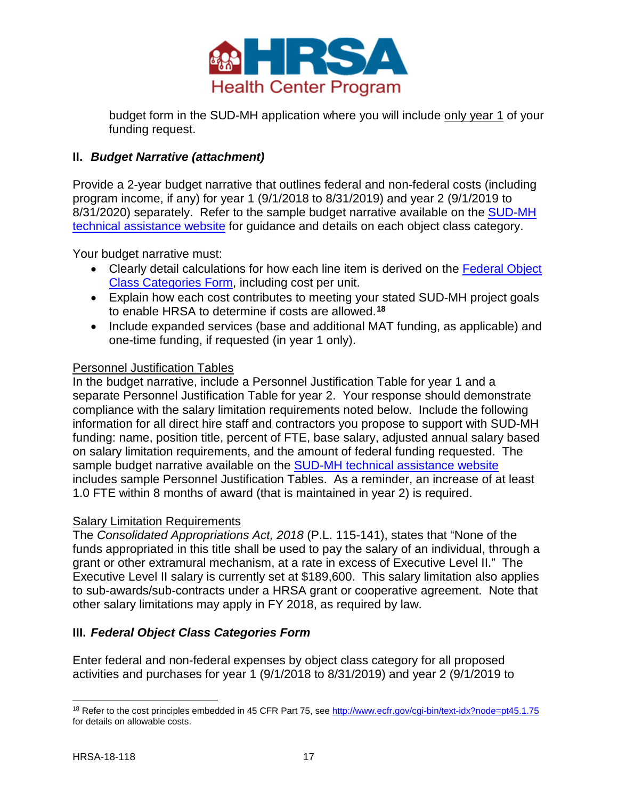

budget form in the SUD-MH application where you will include only year 1 of your funding request.

# <span id="page-16-0"></span>**II.** *Budget Narrative (attachment)*

Provide a 2-year budget narrative that outlines federal and non-federal costs (including program income, if any) for year 1 (9/1/2018 to 8/31/2019) and year 2 (9/1/2019 to 8/31/2020) separately. Refer to the sample budget narrative available on the [SUD-MH](https://bphc.hrsa.gov/programopportunities/fundingopportunities/sud-mh)  [technical assistance website](https://bphc.hrsa.gov/programopportunities/fundingopportunities/sud-mh) for guidance and details on each object class category.

Your budget narrative must:

- Clearly detail calculations for how each line item is derived on the Federal Object [Class Categories Form,](#page-16-1) including cost per unit.
- Explain how each cost contributes to meeting your stated SUD-MH project goals to enable HRSA to determine if costs are allowed.**[18](#page-16-2)**
- Include expanded services (base and additional MAT funding, as applicable) and one-time funding, if requested (in year 1 only).

#### Personnel Justification Tables

In the budget narrative, include a Personnel Justification Table for year 1 and a separate Personnel Justification Table for year 2. Your response should demonstrate compliance with the salary limitation requirements noted below. Include the following information for all direct hire staff and contractors you propose to support with SUD-MH funding: name, position title, percent of FTE, base salary, adjusted annual salary based on salary limitation requirements, and the amount of federal funding requested. The sample budget narrative available on the [SUD-MH technical assistance website](https://bphc.hrsa.gov/programopportunities/fundingopportunities/sud-mh) includes sample Personnel Justification Tables. As a reminder, an increase of at least 1.0 FTE within 8 months of award (that is maintained in year 2) is required.

#### Salary Limitation Requirements

The *Consolidated Appropriations Act, 2018* (P.L. 115-141), states that "None of the funds appropriated in this title shall be used to pay the salary of an individual, through a grant or other extramural mechanism, at a rate in excess of Executive Level II." The Executive Level II salary is currently set at \$189,600. This salary limitation also applies to sub-awards/sub-contracts under a HRSA grant or cooperative agreement. Note that other salary limitations may apply in FY 2018, as required by law.

#### <span id="page-16-1"></span>**III.** *Federal Object Class Categories Form*

Enter federal and non-federal expenses by object class category for all proposed activities and purchases for year 1 (9/1/2018 to 8/31/2019) and year 2 (9/1/2019 to

l

<span id="page-16-2"></span><sup>18</sup> Refer to the cost principles embedded in 45 CFR Part 75, see<http://www.ecfr.gov/cgi-bin/text-idx?node=pt45.1.75> for details on allowable costs.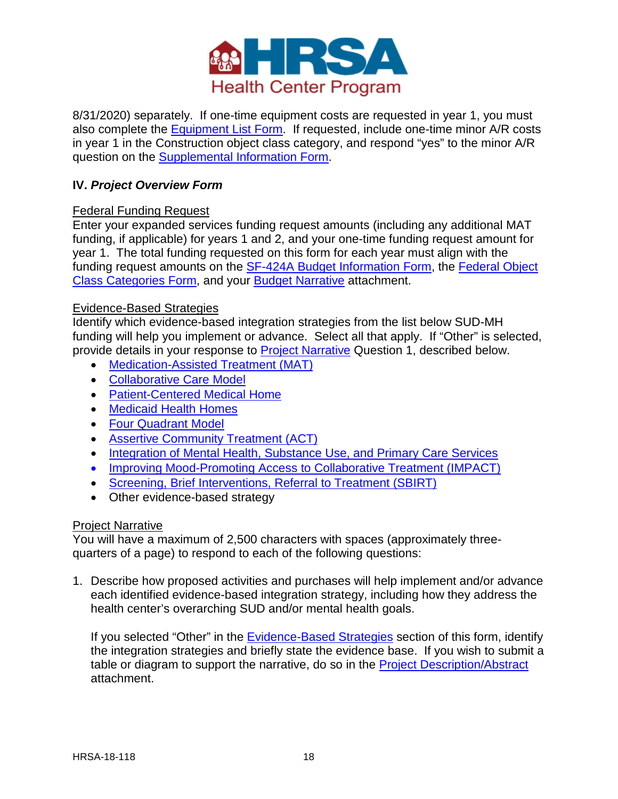

8/31/2020) separately. If one-time equipment costs are requested in year 1, you must also complete the [Equipment List Form.](#page-21-0) If requested, include one-time minor A/R costs in year 1 in the Construction object class category, and respond "yes" to the minor A/R question on the [Supplemental Information Form.](#page-20-0)

# <span id="page-17-1"></span>**IV.** *Project Overview Form*

### Federal Funding Request

Enter your expanded services funding request amounts (including any additional MAT funding, if applicable) for years 1 and 2, and your one-time funding request amount for year 1. The total funding requested on this form for each year must align with the funding request amounts on the [SF-424A Budget Information Form,](#page-15-1) the [Federal Object](#page-16-1)  [Class Categories Form,](#page-16-1) and your [Budget Narrative](#page-16-0) attachment.

#### <span id="page-17-0"></span>Evidence-Based Strategies

Identify which evidence-based integration strategies from the list below SUD-MH funding will help you implement or advance. Select all that apply. If "Other" is selected, provide details in your response to [Project Narrative](#page-17-2) Question 1, described below.

- [Medication-Assisted Treatment \(MAT\)](https://www.integration.samhsa.gov/clinical-practice/mat/mat-overview)
- [Collaborative Care Model](https://www.psychiatry.org/psychiatrists/practice/professional-interests/integrated-care/get-trained/about-collaborative-care)
- [Patient-Centered Medical Home](http://www.pcpcc.org/resource/behavioral-health-integration-pcmh)
- [Medicaid Health Homes](https://www.medicaid.gov/medicaid/ltss/health-homes/index.html)
- [Four Quadrant Model](https://www.integration.samhsa.gov/resource/four-quadrant-model)
- [Assertive Community Treatment \(ACT\)](https://www.centerforebp.case.edu/practices/act)
- [Integration of Mental Health, Substance Use, and Primary Care Services](https://www.integration.samhsa.gov/sliders/slider_10.3.pdf)
- [Improving Mood-Promoting Access to Collaborative Treatment \(IMPACT\)](http://impact-uw.org/about/research.html)
- [Screening, Brief Interventions, Referral to Treatment \(SBIRT\)](https://www.samhsa.gov/sbirt)
- Other evidence-based strategy

#### <span id="page-17-2"></span>Project Narrative

You will have a maximum of 2,500 characters with spaces (approximately threequarters of a page) to respond to each of the following questions:

1. Describe how proposed activities and purchases will help implement and/or advance each identified evidence-based integration strategy, including how they address the health center's overarching SUD and/or mental health goals.

If you selected "Other" in the **Evidence-Based Strategies** section of this form, identify the integration strategies and briefly state the evidence base. If you wish to submit a table or diagram to support the narrative, do so in the [Project Description/Abstract](#page-15-2) attachment.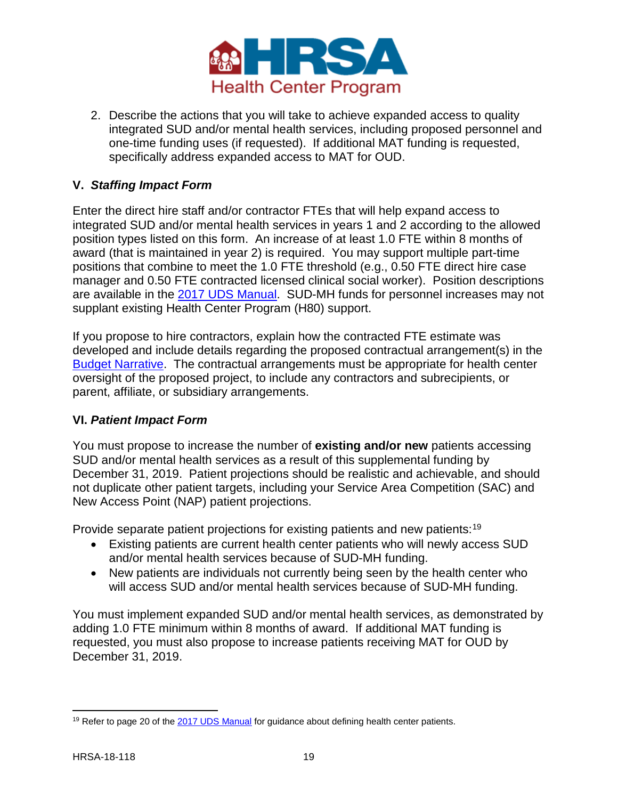

2. Describe the actions that you will take to achieve expanded access to quality integrated SUD and/or mental health services, including proposed personnel and one-time funding uses (if requested). If additional MAT funding is requested, specifically address expanded access to MAT for OUD.

### <span id="page-18-0"></span>**V.** *Staffing Impact Form*

Enter the direct hire staff and/or contractor FTEs that will help expand access to integrated SUD and/or mental health services in years 1 and 2 according to the allowed position types listed on this form. An increase of at least 1.0 FTE within 8 months of award (that is maintained in year 2) is required. You may support multiple part-time positions that combine to meet the 1.0 FTE threshold (e.g., 0.50 FTE direct hire case manager and 0.50 FTE contracted licensed clinical social worker). Position descriptions are available in the [2017 UDS Manual.](https://www.bphc.hrsa.gov/datareporting/reporting/2017udsreportingmanual.pdf) SUD-MH funds for personnel increases may not supplant existing Health Center Program (H80) support.

If you propose to hire contractors, explain how the contracted FTE estimate was developed and include details regarding the proposed contractual arrangement(s) in the [Budget Narrative.](#page-16-0) The contractual arrangements must be appropriate for health center oversight of the proposed project, to include any contractors and subrecipients, or parent, affiliate, or subsidiary arrangements.

### <span id="page-18-1"></span>**VI.** *Patient Impact Form*

You must propose to increase the number of **existing and/or new** patients accessing SUD and/or mental health services as a result of this supplemental funding by December 31, 2019. Patient projections should be realistic and achievable, and should not duplicate other patient targets, including your Service Area Competition (SAC) and New Access Point (NAP) patient projections.

Provide separate patient projections for existing patients and new patients:<sup>[19](#page-18-2)</sup>

- Existing patients are current health center patients who will newly access SUD and/or mental health services because of SUD-MH funding.
- New patients are individuals not currently being seen by the health center who will access SUD and/or mental health services because of SUD-MH funding.

You must implement expanded SUD and/or mental health services, as demonstrated by adding 1.0 FTE minimum within 8 months of award. If additional MAT funding is requested, you must also propose to increase patients receiving MAT for OUD by December 31, 2019.

<span id="page-18-2"></span> $\overline{\phantom{a}}$ <sup>19</sup> Refer to page 20 of th[e 2017 UDS Manual](https://www.bphc.hrsa.gov/datareporting/reporting/2017udsreportingmanual.pdf) for guidance about defining health center patients.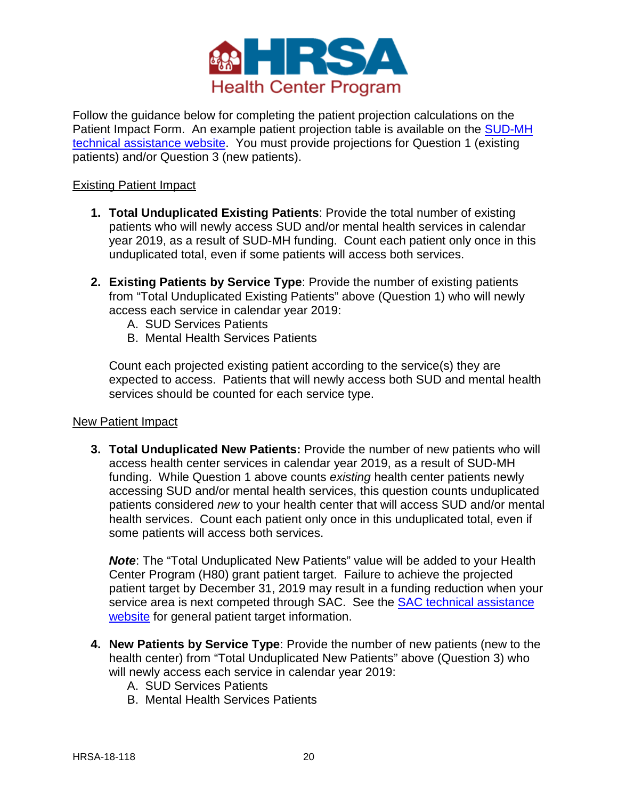

Follow the guidance below for completing the patient projection calculations on the Patient Impact Form. An example patient projection table is available on the SUD-MH [technical assistance website.](https://bphc.hrsa.gov/programopportunities/fundingopportunities/sud-mh) You must provide projections for Question 1 (existing patients) and/or Question 3 (new patients).

#### Existing Patient Impact

- **1. Total Unduplicated Existing Patients**: Provide the total number of existing patients who will newly access SUD and/or mental health services in calendar year 2019, as a result of SUD-MH funding. Count each patient only once in this unduplicated total, even if some patients will access both services.
- **2. Existing Patients by Service Type**: Provide the number of existing patients from "Total Unduplicated Existing Patients" above (Question 1) who will newly access each service in calendar year 2019:
	- A. SUD Services Patients
	- B. Mental Health Services Patients

Count each projected existing patient according to the service(s) they are expected to access. Patients that will newly access both SUD and mental health services should be counted for each service type.

#### New Patient Impact

**3. Total Unduplicated New Patients:** Provide the number of new patients who will access health center services in calendar year 2019, as a result of SUD-MH funding. While Question 1 above counts *existing* health center patients newly accessing SUD and/or mental health services, this question counts unduplicated patients considered *new* to your health center that will access SUD and/or mental health services. Count each patient only once in this unduplicated total, even if some patients will access both services.

*Note*: The "Total Unduplicated New Patients" value will be added to your Health Center Program (H80) grant patient target. Failure to achieve the projected patient target by December 31, 2019 may result in a funding reduction when your service area is next competed through SAC. See the SAC technical assistance [website](https://bphc.hrsa.gov/programopportunities/fundingopportunities/sac/index.html) for general patient target information.

- **4. New Patients by Service Type**: Provide the number of new patients (new to the health center) from "Total Unduplicated New Patients" above (Question 3) who will newly access each service in calendar year 2019:
	- A. SUD Services Patients
	- B. Mental Health Services Patients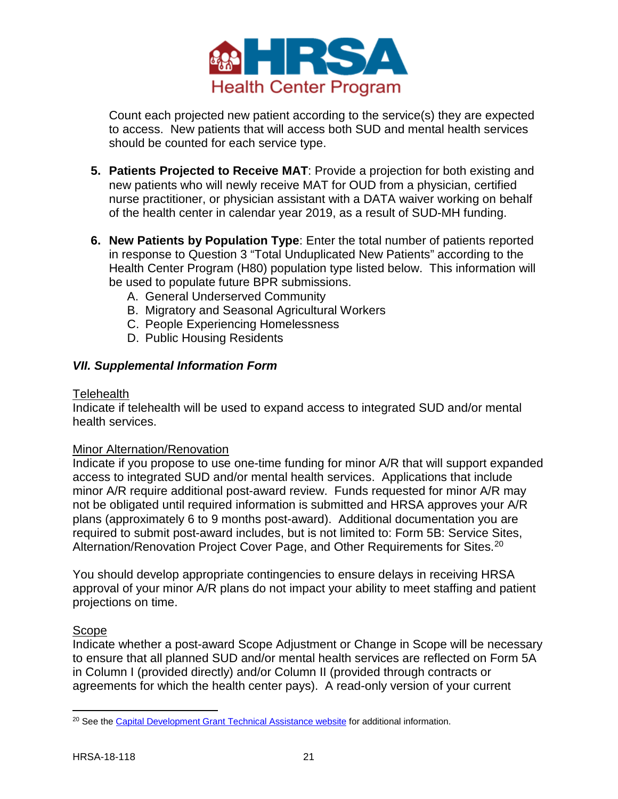

Count each projected new patient according to the service(s) they are expected to access. New patients that will access both SUD and mental health services should be counted for each service type.

- **5. Patients Projected to Receive MAT**: Provide a projection for both existing and new patients who will newly receive MAT for OUD from a physician, certified nurse practitioner, or physician assistant with a DATA waiver working on behalf of the health center in calendar year 2019, as a result of SUD-MH funding.
- **6. New Patients by Population Type**: Enter the total number of patients reported in response to Question 3 "Total Unduplicated New Patients" according to the Health Center Program (H80) population type listed below. This information will be used to populate future BPR submissions.
	- A. General Underserved Community
	- B. Migratory and Seasonal Agricultural Workers
	- C. People Experiencing Homelessness
	- D. Public Housing Residents

#### <span id="page-20-0"></span>*VII. Supplemental Information Form*

#### **Telehealth**

Indicate if telehealth will be used to expand access to integrated SUD and/or mental health services.

#### Minor Alternation/Renovation

Indicate if you propose to use one-time funding for minor A/R that will support expanded access to integrated SUD and/or mental health services. Applications that include minor A/R require additional post-award review. Funds requested for minor A/R may not be obligated until required information is submitted and HRSA approves your A/R plans (approximately 6 to 9 months post-award). Additional documentation you are required to submit post-award includes, but is not limited to: Form 5B: Service Sites, Alternation/Renovation Project Cover Page, and Other Requirements for Sites. [20](#page-20-1)

You should develop appropriate contingencies to ensure delays in receiving HRSA approval of your minor A/R plans do not impact your ability to meet staffing and patient projections on time.

#### Scope

Indicate whether a post-award Scope Adjustment or Change in Scope will be necessary to ensure that all planned SUD and/or mental health services are reflected on Form 5A in Column I (provided directly) and/or Column II (provided through contracts or agreements for which the health center pays). A read-only version of your current

<span id="page-20-1"></span> $\overline{\phantom{a}}$ <sup>20</sup> See th[e Capital Development Grant Technical Assistance website](https://bphc.hrsa.gov/programopportunities/fundingopportunities/capdev.html) for additional information.